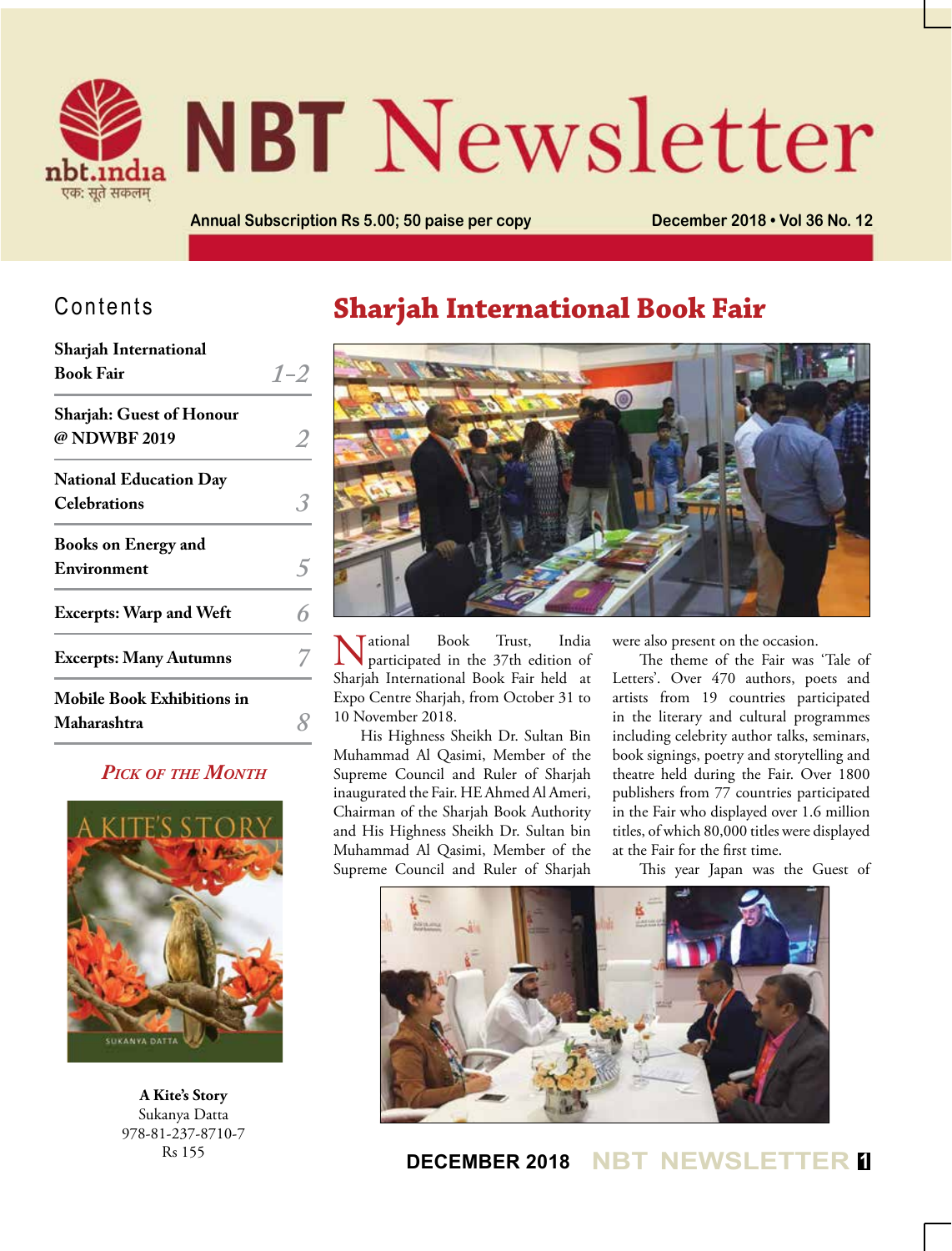

# **NBT** Newsletter

**Annual Subscription Rs 5.00; 50 paise per copy December 2018 • Vol 36 No. 12**

## Contents

| Sharjah International             |         |
|-----------------------------------|---------|
| <b>Book Fair</b>                  | $1 - 2$ |
| <b>Sharjah: Guest of Honour</b>   |         |
| @ NDWBF 2019                      |         |
| <b>National Education Day</b>     |         |
| <b>Celebrations</b>               |         |
| <b>Books on Energy and</b>        |         |
| Environment                       |         |
| <b>Excerpts: Warp and Weft</b>    |         |
| <b>Excerpts: Many Autumns</b>     |         |
| <b>Mobile Book Exhibitions in</b> |         |
| Maharashtra                       |         |
|                                   |         |

#### *Pick of the Month*



**A Kite's Story** Sukanya Datta 978-81-237-8710-7 Rs 155

# **Sharjah International Book Fair**



National Book Trust, India participated in the 37th edition of Sharjah International Book Fair held at Expo Centre Sharjah, from October 31 to 10 November 2018.

His Highness Sheikh Dr. Sultan Bin Muhammad Al Qasimi, Member of the Supreme Council and Ruler of Sharjah inaugurated the Fair. HE Ahmed Al Ameri, Chairman of the Sharjah Book Authority and His Highness Sheikh Dr. Sultan bin Muhammad Al Qasimi, Member of the Supreme Council and Ruler of Sharjah

were also present on the occasion.

The theme of the Fair was 'Tale of Letters'. Over 470 authors, poets and artists from 19 countries participated in the literary and cultural programmes including celebrity author talks, seminars, book signings, poetry and storytelling and theatre held during the Fair. Over 1800 publishers from 77 countries participated in the Fair who displayed over 1.6 million titles, of which 80,000 titles were displayed at the Fair for the first time.

This year Japan was the Guest of



**DECEMBER 2018 NBT NEWSLETTER <sup>1</sup>**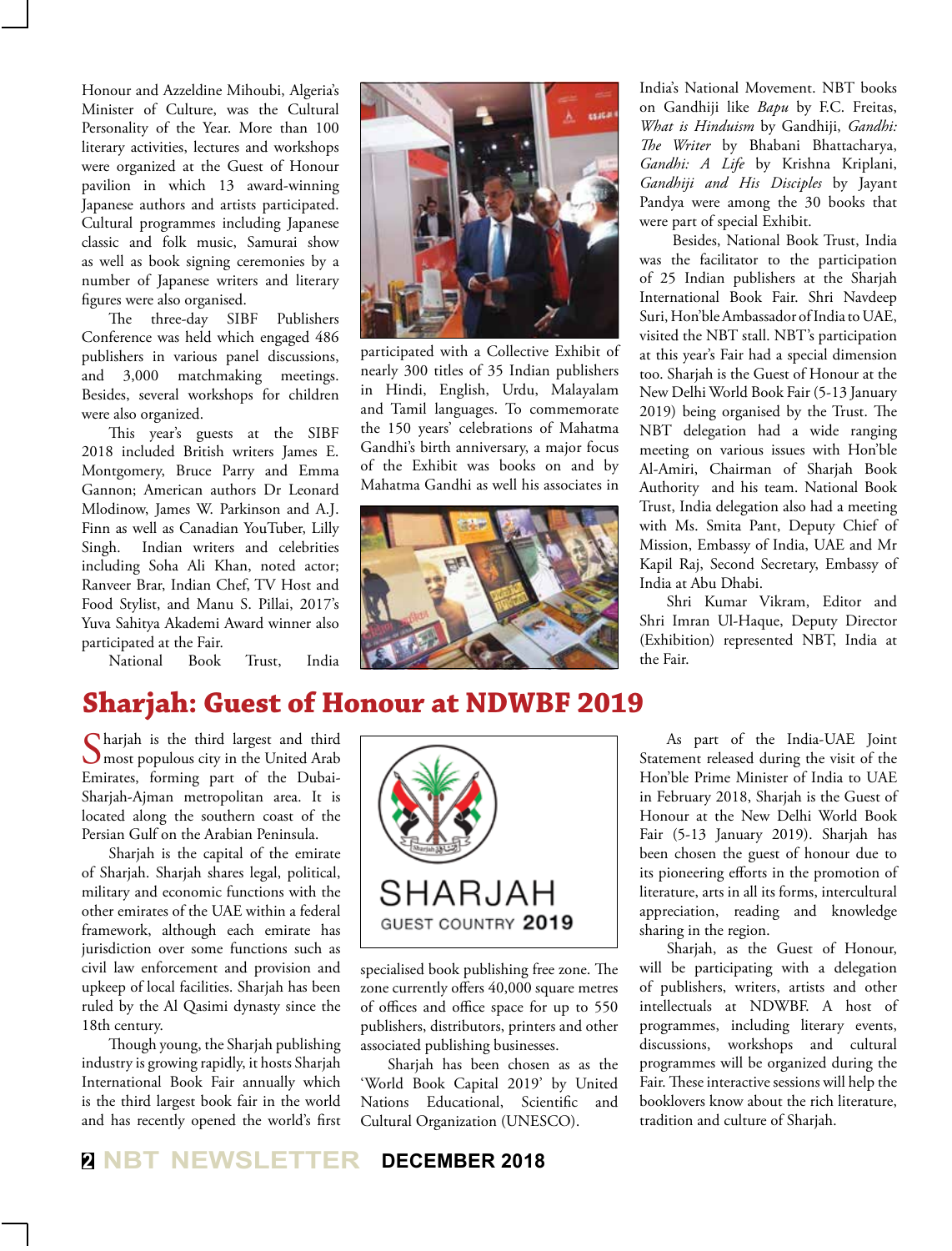Honour and Azzeldine Mihoubi, Algeria's Minister of Culture, was the Cultural Personality of the Year. More than 100 literary activities, lectures and workshops were organized at the Guest of Honour pavilion in which 13 award-winning Japanese authors and artists participated. Cultural programmes including Japanese classic and folk music, Samurai show as well as book signing ceremonies by a number of Japanese writers and literary figures were also organised.

The three-day SIBF Publishers Conference was held which engaged 486 publishers in various panel discussions, and 3,000 matchmaking meetings. Besides, several workshops for children were also organized.

This year's guests at the SIBF 2018 included British writers James E. Montgomery, Bruce Parry and Emma Gannon; American authors Dr Leonard Mlodinow, James W. Parkinson and A.J. Finn as well as Canadian YouTuber, Lilly Singh. Indian writers and celebrities including Soha Ali Khan, noted actor; Ranveer Brar, Indian Chef, TV Host and Food Stylist, and Manu S. Pillai, 2017's Yuva Sahitya Akademi Award winner also participated at the Fair.

National Book Trust, India



participated with a Collective Exhibit of nearly 300 titles of 35 Indian publishers in Hindi, English, Urdu, Malayalam and Tamil languages. To commemorate the 150 years' celebrations of Mahatma Gandhi's birth anniversary, a major focus of the Exhibit was books on and by Mahatma Gandhi as well his associates in



India's National Movement. NBT books on Gandhiji like *Bapu* by F.C. Freitas, *What is Hinduism* by Gandhiji, *Gandhi: The Writer* by Bhabani Bhattacharya, *Gandhi: A Life* by Krishna Kriplani, *Gandhiji and His Disciples* by Jayant Pandya were among the 30 books that were part of special Exhibit.

 Besides, National Book Trust, India was the facilitator to the participation of 25 Indian publishers at the Sharjah International Book Fair. Shri Navdeep Suri, Hon'ble Ambassador of India to UAE, visited the NBT stall. NBT's participation at this year's Fair had a special dimension too. Sharjah is the Guest of Honour at the New Delhi World Book Fair (5-13 January 2019) being organised by the Trust. The NBT delegation had a wide ranging meeting on various issues with Hon'ble Al-Amiri, Chairman of Sharjah Book Authority and his team. National Book Trust, India delegation also had a meeting with Ms. Smita Pant, Deputy Chief of Mission, Embassy of India, UAE and Mr Kapil Raj, Second Secretary, Embassy of India at Abu Dhabi.

Shri Kumar Vikram, Editor and Shri Imran Ul-Haque, Deputy Director (Exhibition) represented NBT, India at the Fair.

# **Sharjah: Guest of Honour at NDWBF 2019**

Sharjah is the third largest and third most populous city in the United Arab Emirates, forming part of the Dubai-Sharjah-Ajman metropolitan area. It is located along the southern coast of the Persian Gulf on the Arabian Peninsula.

Sharjah is the capital of the emirate of Sharjah. Sharjah shares legal, political, military and economic functions with the other emirates of the UAE within a federal framework, although each emirate has jurisdiction over some functions such as civil law enforcement and provision and upkeep of local facilities. Sharjah has been ruled by the Al Qasimi dynasty since the 18th century.

Though young, the Sharjah publishing industry is growing rapidly, it hosts Sharjah International Book Fair annually which is the third largest book fair in the world and has recently opened the world's first



specialised book publishing free zone. The zone currently offers 40,000 square metres of offices and office space for up to 550 publishers, distributors, printers and other associated publishing businesses.

Sharjah has been chosen as as the 'World Book Capital 2019' by United Nations Educational, Scientific and Cultural Organization (UNESCO).

As part of the India-UAE Joint Statement released during the visit of the Hon'ble Prime Minister of India to UAE in February 2018, Sharjah is the Guest of Honour at the New Delhi World Book Fair (5-13 January 2019). Sharjah has been chosen the guest of honour due to its pioneering efforts in the promotion of literature, arts in all its forms, intercultural appreciation, reading and knowledge sharing in the region.

Sharjah, as the Guest of Honour, will be participating with a delegation of publishers, writers, artists and other intellectuals at NDWBF. A host of programmes, including literary events, discussions, workshops and cultural programmes will be organized during the Fair. These interactive sessions will help the booklovers know about the rich literature, tradition and culture of Sharjah.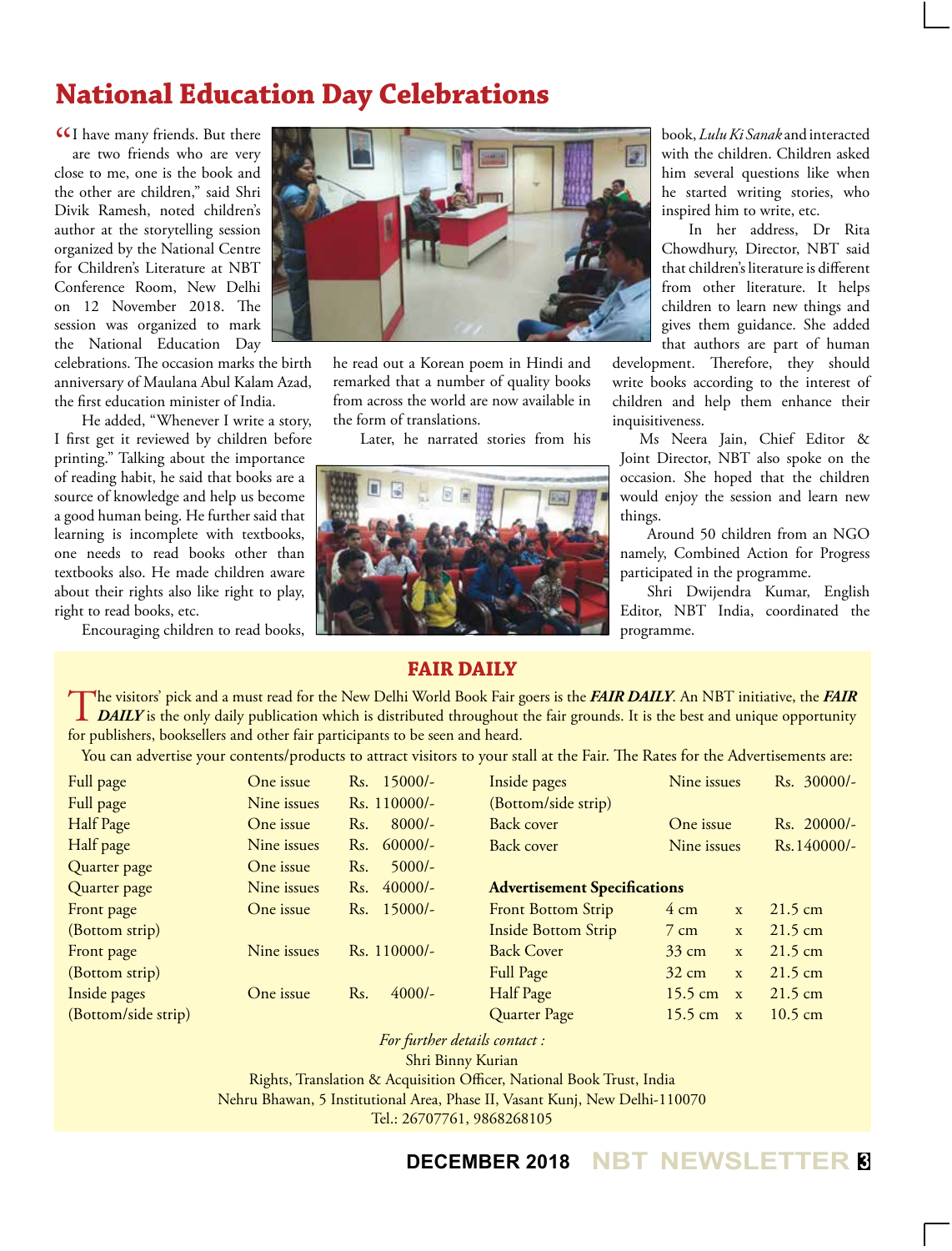# **National Education Day Celebrations**

**II** have many friends. But there are two friends who are very are two friends who are very close to me, one is the book and the other are children," said Shri Divik Ramesh, noted children's author at the storytelling session organized by the National Centre for Children's Literature at NBT Conference Room, New Delhi on 12 November 2018. The session was organized to mark the National Education Day

celebrations. The occasion marks the birth anniversary of Maulana Abul Kalam Azad, the first education minister of India.

He added, "Whenever I write a story, I first get it reviewed by children before printing." Talking about the importance of reading habit, he said that books are a source of knowledge and help us become a good human being. He further said that learning is incomplete with textbooks, one needs to read books other than textbooks also. He made children aware about their rights also like right to play, right to read books, etc.

Encouraging children to read books,



he read out a Korean poem in Hindi and remarked that a number of quality books from across the world are now available in the form of translations.

Later, he narrated stories from his



book, *Lulu Ki Sanak* and interacted with the children. Children asked him several questions like when he started writing stories, who inspired him to write, etc.

In her address, Dr Rita Chowdhury, Director, NBT said that children's literature is different from other literature. It helps children to learn new things and gives them guidance. She added that authors are part of human

development. Therefore, they should write books according to the interest of children and help them enhance their inquisitiveness.

Ms Neera Jain, Chief Editor & Joint Director, NBT also spoke on the occasion. She hoped that the children would enjoy the session and learn new things.

Around 50 children from an NGO namely, Combined Action for Progress participated in the programme.

Shri Dwijendra Kumar, English Editor, NBT India, coordinated the programme.

#### **Fair Daily**

The visitors' pick and a must read for the New Delhi World Book Fair goers is the FAIR DAILY. An NBT initiative, the FAIR<br>DAILY is the only daily publication which is distributed throughout the fair grounds. It is the best for publishers, booksellers and other fair participants to be seen and heard.

You can advertise your contents/products to attract visitors to your stall at the Fair. The Rates for the Advertisements are:

| Full page           | One issue   | Rs. 15000/-      | Inside pages                        | Nine issues                       | Rs. 30000/-       |
|---------------------|-------------|------------------|-------------------------------------|-----------------------------------|-------------------|
| Full page           | Nine issues | Rs. 110000/-     | (Bottom/side strip)                 |                                   |                   |
| Half Page           | One issue   | $8000/-$<br>Rs.  | Back cover                          | One issue                         | Rs. 20000/-       |
| Half page           | Nine issues | $60000/-$<br>Rs. | Back cover                          | Nine issues                       | $Rs.140000/-$     |
| Quarter page        | One issue   | $5000/-$<br>Rs.  |                                     |                                   |                   |
| Quarter page        | Nine issues | $40000/-$<br>Rs. | <b>Advertisement Specifications</b> |                                   |                   |
| Front page          | One issue   | Rs. 15000/-      | <b>Front Bottom Strip</b>           | $4 \text{ cm}$<br>$\mathbf{X}$    | $21.5 \text{ cm}$ |
| (Bottom strip)      |             |                  | <b>Inside Bottom Strip</b>          | $7 \text{ cm}$<br>$\mathbf{X}$    | $21.5 \text{ cm}$ |
| Front page          | Nine issues | Rs. 110000/-     | <b>Back Cover</b>                   | $33 \text{ cm}$<br>$\mathbf{X}$   | $21.5 \text{ cm}$ |
| (Bottom strip)      |             |                  | Full Page                           | $32 \text{ cm}$<br>$\mathbf{x}$   | $21.5 \text{ cm}$ |
| Inside pages        | One issue   | $4000/-$<br>Rs.  | Half Page                           | $15.5 \text{ cm}$<br>$\mathbf{x}$ | $21.5 \text{ cm}$ |
| (Bottom/side strip) |             |                  | Quarter Page                        | $15.5 \text{ cm}$<br>$\mathbf{X}$ | $10.5 \text{ cm}$ |

*For further details contact :*

Shri Binny Kurian

Rights, Translation & Acquisition Officer, National Book Trust, India

Nehru Bhawan, 5 Institutional Area, Phase II, Vasant Kunj, New Delhi-110070

Tel.: 26707761, 9868268105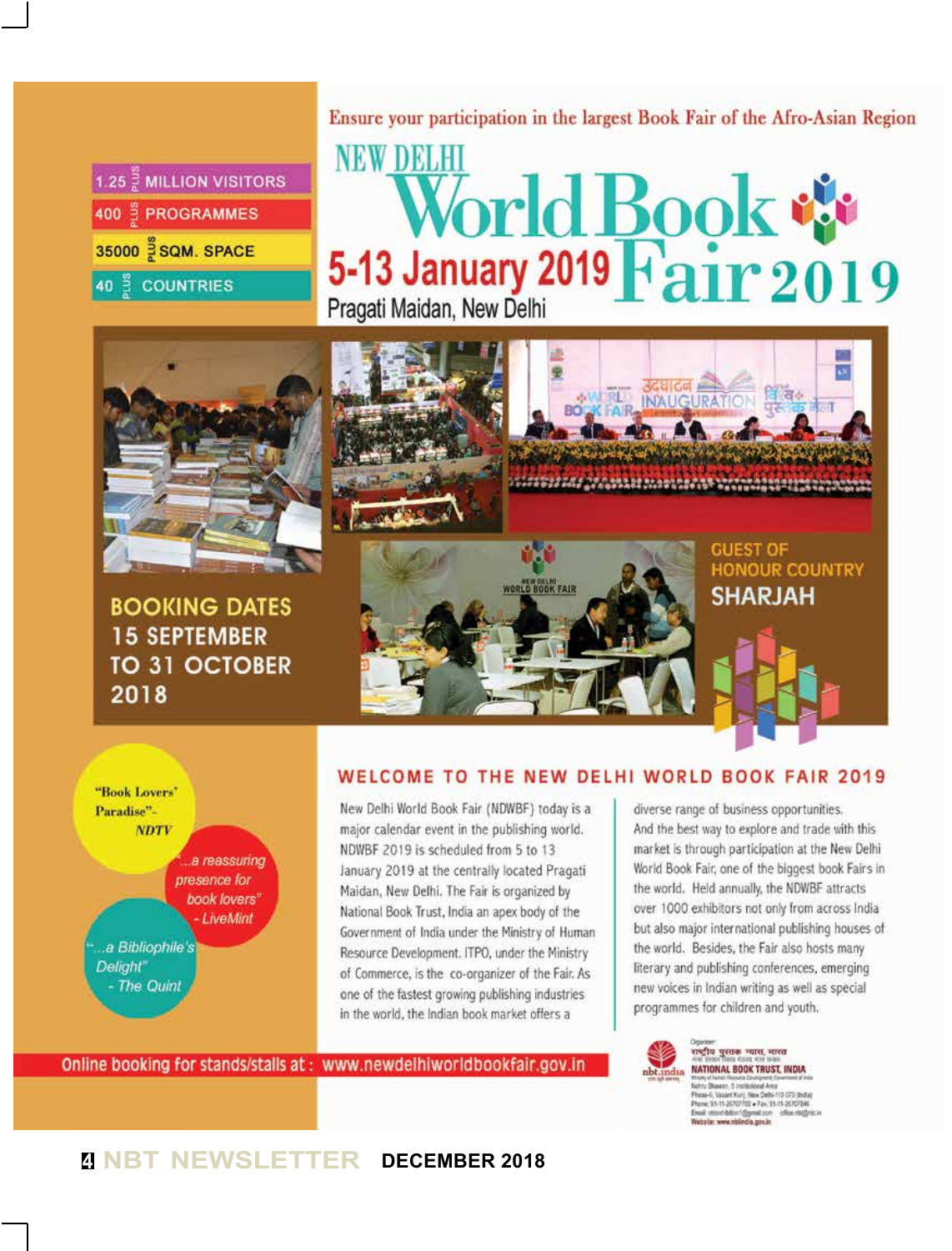| 1.25 $\frac{3}{6}$ MILLION VISITORS |
|-------------------------------------|
| 400 PROGRAMMES                      |
| 35000 SQM. SPACE                    |
| 40 <sup>%</sup> COUNTRIES           |

Ensure your participation in the largest Book Fair of the Afro-Asian Region

# **NEW DELHI** World Book Pragati Maidan, New Delhi



**BOOKING DATES 15 SEPTEMBER** TO 31 OCTOBER 2018



**GUEST OF HONOUR COUNTRY SHARJAH** 



#### WELCOME TO THE NEW DELHI WORLD BOOK FAIR 2019

New Delhi World Book Fair (NDWBF) today is a major calendar event in the publishing world. NDWBF 2019 is scheduled from 5 to 13 January 2019 at the centrally located Pragati Maidan, New Delhi. The Fair is organized by National Book Trust, India an apex body of the Government of India under the Ministry of Human Resource Development. ITPO, under the Ministry of Commerce, is the co-organizer of the Fair. As one of the fastest growing publishing industries in the world, the Indian book market offers a

Online booking for stands/stalls at: www.newdelhiworldbookfair.gov.in

diverse range of business opportunities. And the best way to explore and trade with this market is through participation at the New Delhi World Book Fair, one of the biggest book Fairs in the world. Held annually, the NDWBF attracts over 1000 exhibitors not only from across India but also major international publishing houses of the world. Besides, the Fair also hosts many literary and publishing conferences, emerging new voices in Indian writing as well as special programmes for children and youth.



राष्ट्रीय पुस्तक न्यास, भारत NATIONAL BOOK TRUST, INDIA .<br>Nehru Bluxesn, 5 Institutional Area<br>Phese-II, Vassert Kunj, New Dette-110 070 (India) Phone: 91-11-36707702 + Fax: 91-11-26707546<br>Email: record-billor 1@ymel.com - office rist@r<br>Website: www.nblindia.gov.in

### **<sup>4</sup> NBT NEWSLETTER DECEMBER 2018**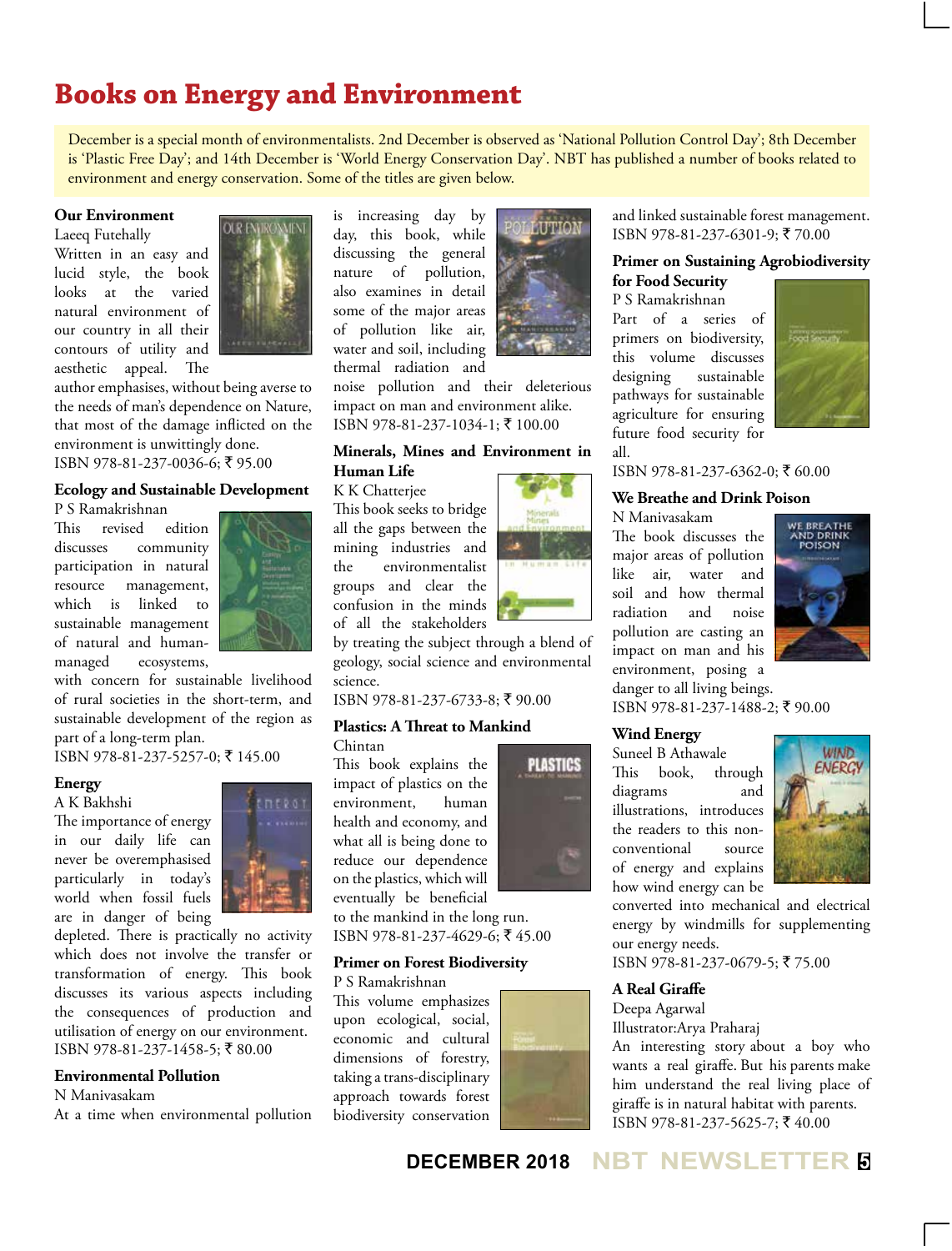# **Books on Energy and Environment**

December is a special month of environmentalists. 2nd December is observed as 'National Pollution Control Day'; 8th December is 'Plastic Free Day'; and 14th December is 'World Energy Conservation Day'. NBT has published a number of books related to environment and energy conservation. Some of the titles are given below.

#### **Our Environment**

Laeeq Futehally Written in an easy and lucid style, the book looks at the varied natural environment of our country in all their contours of utility and aesthetic appeal. The



author emphasises, without being averse to the needs of man's dependence on Nature, that most of the damage inflicted on the environment is unwittingly done. ISBN 978-81-237-0036-6; ₹ 95.00

#### **Ecology and Sustainable Development**

P S Ramakrishnan

This revised edition discusses community participation in natural resource management, which is linked to sustainable management of natural and humanmanaged ecosystems,



with concern for sustainable livelihood of rural societies in the short-term, and sustainable development of the region as part of a long-term plan.

ISBN 978-81-237-5257-0; ₹ 145.00

#### **Energy**

A K Bakhshi The importance of energy in our daily life can never be overemphasised particularly in today's world when fossil fuels

are in danger of being



depleted. There is practically no activity which does not involve the transfer or transformation of energy. This book discusses its various aspects including the consequences of production and utilisation of energy on our environment. ISBN 978-81-237-1458-5; ₹80.00

#### **Environmental Pollution**

N Manivasakam

At a time when environmental pollution

is increasing day by day, this book, while discussing the general nature of pollution, also examines in detail some of the major areas of pollution like air, water and soil, including thermal radiation and



noise pollution and their deleterious impact on man and environment alike. ISBN 978-81-237-1034-1; ` 100.00

#### **Minerals, Mines and Environment in Human Life**

#### K K Chatterjee

This book seeks to bridge all the gaps between the mining industries and the environmentalist groups and clear the confusion in the minds of all the stakeholders



by treating the subject through a blend of geology, social science and environmental science.

ISBN 978-81-237-6733-8; ` 90.00

#### **Plastics: A Threat to Mankind**

Chintan

This book explains the impact of plastics on the environment, human health and economy, and what all is being done to reduce our dependence on the plastics, which will eventually be beneficial

**PLASTICS** 

to the mankind in the long run. ISBN 978-81-237-4629-6; ₹45.00

#### **Primer on Forest Biodiversity**

P S Ramakrishnan

This volume emphasizes upon ecological, social, economic and cultural dimensions of forestry, taking a trans-disciplinary approach towards forest biodiversity conservation



and linked sustainable forest management. ISBN 978-81-237-6301-9; ₹ 70.00

#### **Primer on Sustaining Agrobiodiversity for Food Security**

P S Ramakrishnan

Part of a series of primers on biodiversity, this volume discusses designing sustainable pathways for sustainable agriculture for ensuring future food security for all.



ISBN 978-81-237-6362-0; ₹60.00

#### **We Breathe and Drink Poison**

N Manivasakam

The book discusses the major areas of pollution like air, water and soil and how thermal radiation and noise pollution are casting an impact on man and his environment, posing a danger to all living beings.



ISBN 978-81-237-1488-2; ₹ 90.00

#### **Wind Energy**

Suneel B Athawale This book, through diagrams and illustrations, introduces the readers to this nonconventional source of energy and explains how wind energy can be



converted into mechanical and electrical energy by windmills for supplementing our energy needs.

ISBN 978-81-237-0679-5; ₹75.00

#### **A Real Giraffe**

Deepa Agarwal

Illustrator:Arya Praharaj

An interesting story about a boy who wants a real giraffe. But his parents make him understand the real living place of giraffe is in natural habitat with parents. ISBN 978-81-237-5625-7; ₹40.00

#### **DECEMBER 2018 NBT NEWSLETTER <sup>5</sup>**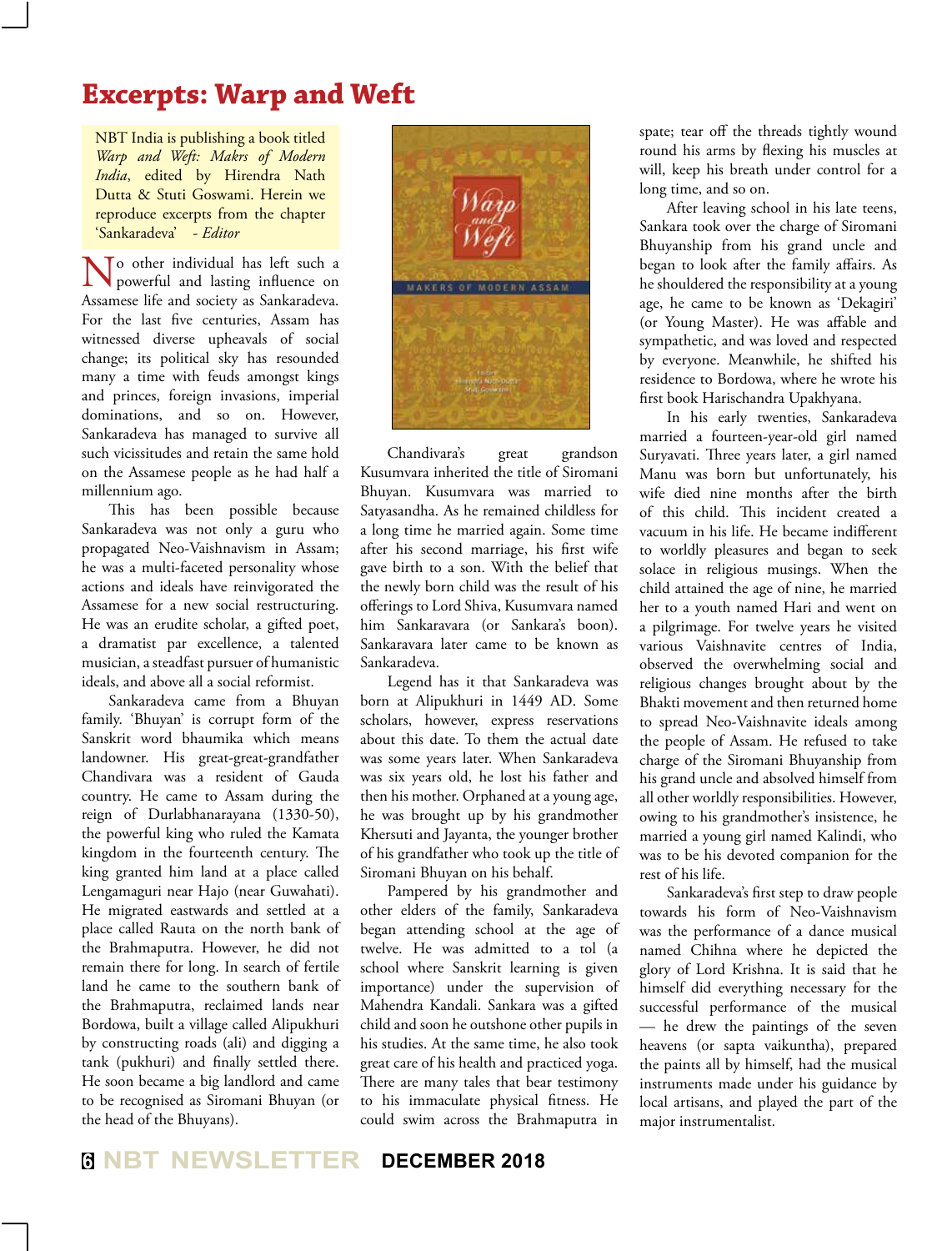# **Excerpts: Warp and Weft**

NBT India is publishing a book titled *Warp and Weft: Makrs of Modern India*, edited by Hirendra Nath Dutta & Stuti Goswami. Herein we reproduce excerpts from the chapter 'Sankaradeva' - *Editor* 

To other individual has left such a powerful and lasting influence on Assamese life and society as Sankaradeva. For the last five centuries, Assam has witnessed diverse upheavals of social change; its political sky has resounded many a time with feuds amongst kings and princes, foreign invasions, imperial dominations, and so on. However, Sankaradeva has managed to survive all such vicissitudes and retain the same hold on the Assamese people as he had half a millennium ago.

This has been possible because Sankaradeva was not only a guru who propagated Neo-Vaishnavism in Assam; he was a multi-faceted personality whose actions and ideals have reinvigorated the Assamese for a new social restructuring. He was an erudite scholar, a gifted poet, a dramatist par excellence, a talented musician, a steadfast pursuer of humanistic ideals, and above all a social reformist.

Sankaradeva came from a Bhuyan family. 'Bhuyan' is corrupt form of the Sanskrit word bhaumika which means landowner. His great-great-grandfather Chandivara was a resident of Gauda country. He came to Assam during the reign of Durlabhanarayana (1330-50), the powerful king who ruled the Kamata kingdom in the fourteenth century. The king granted him land at a place called Lengamaguri near Hajo (near Guwahati). He migrated eastwards and settled at a place called Rauta on the north bank of the Brahmaputra. However, he did not remain there for long. In search of fertile land he came to the southern bank of the Brahmaputra, reclaimed lands near Bordowa, built a village called Alipukhuri by constructing roads (ali) and digging a tank (pukhuri) and finally settled there. He soon became a big landlord and came to be recognised as Siromani Bhuyan (or the head of the Bhuyans).



Chandivara's great grandson Kusumvara inherited the title of Siromani Bhuyan. Kusumvara was married to Satyasandha. As he remained childless for a long time he married again. Some time after his second marriage, his first wife gave birth to a son. With the belief that the newly born child was the result of his offerings to Lord Shiva, Kusumvara named him Sankaravara (or Sankara's boon). Sankaravara later came to be known as Sankaradeva.

Legend has it that Sankaradeva was born at Alipukhuri in 1449 AD. Some scholars, however, express reservations about this date. To them the actual date was some years later. When Sankaradeva was six years old, he lost his father and then his mother. Orphaned at a young age, he was brought up by his grandmother Khersuti and Jayanta, the younger brother of his grandfather who took up the title of Siromani Bhuyan on his behalf.

Pampered by his grandmother and other elders of the family, Sankaradeva began attending school at the age of twelve. He was admitted to a tol (a school where Sanskrit learning is given importance) under the supervision of Mahendra Kandali. Sankara was a gifted child and soon he outshone other pupils in his studies. At the same time, he also took great care of his health and practiced yoga. There are many tales that bear testimony to his immaculate physical fitness. He could swim across the Brahmaputra in

spate; tear off the threads tightly wound round his arms by flexing his muscles at will, keep his breath under control for a long time, and so on.

After leaving school in his late teens, Sankara took over the charge of Siromani Bhuyanship from his grand uncle and began to look after the family affairs. As he shouldered the responsibility at a young age, he came to be known as 'Dekagiri' (or Young Master). He was affable and sympathetic, and was loved and respected by everyone. Meanwhile, he shifted his residence to Bordowa, where he wrote his first book Harischandra Upakhyana.

In his early twenties, Sankaradeva married a fourteen-year-old girl named Suryavati. Three years later, a girl named Manu was born but unfortunately, his wife died nine months after the birth of this child. This incident created a vacuum in his life. He became indifferent to worldly pleasures and began to seek solace in religious musings. When the child attained the age of nine, he married her to a youth named Hari and went on a pilgrimage. For twelve years he visited various Vaishnavite centres of India, observed the overwhelming social and religious changes brought about by the Bhakti movement and then returned home to spread Neo-Vaishnavite ideals among the people of Assam. He refused to take charge of the Siromani Bhuyanship from his grand uncle and absolved himself from all other worldly responsibilities. However, owing to his grandmother's insistence, he married a young girl named Kalindi, who was to be his devoted companion for the rest of his life.

Sankaradeva's first step to draw people towards his form of Neo-Vaishnavism was the performance of a dance musical named Chihna where he depicted the glory of Lord Krishna. It is said that he himself did everything necessary for the successful performance of the musical — he drew the paintings of the seven heavens (or sapta vaikuntha), prepared the paints all by himself, had the musical instruments made under his guidance by local artisans, and played the part of the major instrumentalist.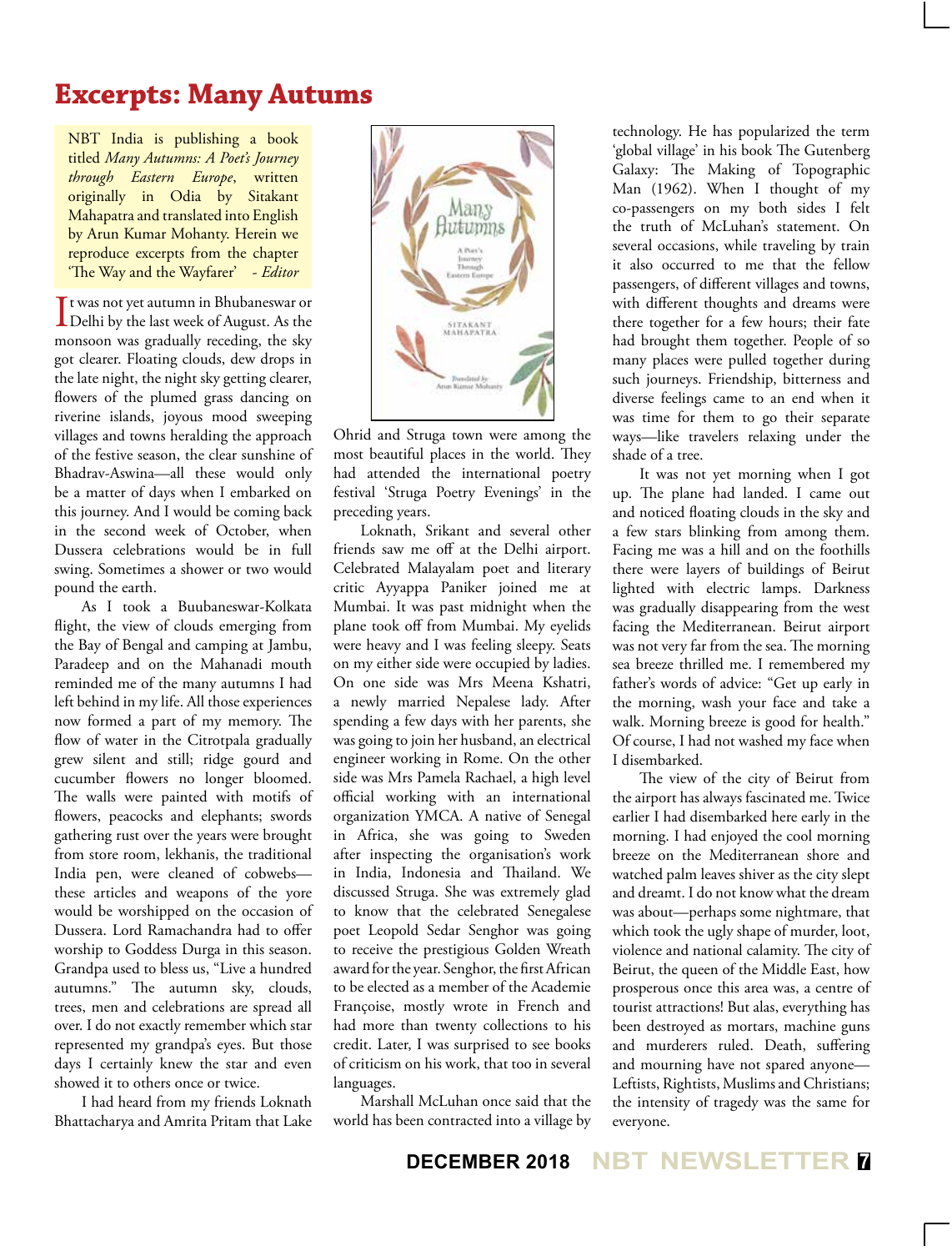# **Excerpts: Many Autums**

NBT India is publishing a book titled *Many Autumns: A Poet's Journey through Eastern Europe*, written originally in Odia by Sitakant Mahapatra and translated into English by Arun Kumar Mohanty. Herein we reproduce excerpts from the chapter 'The Way and the Wayfarer' - *Editor*

It was not yet autumn in Bhubaneswar or<br>Delhi by the last week of August. As the t was not yet autumn in Bhubaneswar or monsoon was gradually receding, the sky got clearer. Floating clouds, dew drops in the late night, the night sky getting clearer, flowers of the plumed grass dancing on riverine islands, joyous mood sweeping villages and towns heralding the approach of the festive season, the clear sunshine of Bhadrav-Aswina—all these would only be a matter of days when I embarked on this journey. And I would be coming back in the second week of October, when Dussera celebrations would be in full swing. Sometimes a shower or two would pound the earth.

As I took a Buubaneswar-Kolkata flight, the view of clouds emerging from the Bay of Bengal and camping at Jambu, Paradeep and on the Mahanadi mouth reminded me of the many autumns I had left behind in my life. All those experiences now formed a part of my memory. The flow of water in the Citrotpala gradually grew silent and still; ridge gourd and cucumber flowers no longer bloomed. The walls were painted with motifs of flowers, peacocks and elephants; swords gathering rust over the years were brought from store room, lekhanis, the traditional India pen, were cleaned of cobwebs these articles and weapons of the yore would be worshipped on the occasion of Dussera. Lord Ramachandra had to offer worship to Goddess Durga in this season. Grandpa used to bless us, "Live a hundred autumns." The autumn sky, clouds, trees, men and celebrations are spread all over. I do not exactly remember which star represented my grandpa's eyes. But those days I certainly knew the star and even showed it to others once or twice.

I had heard from my friends Loknath Bhattacharya and Amrita Pritam that Lake

![](_page_6_Picture_5.jpeg)

Ohrid and Struga town were among the most beautiful places in the world. They had attended the international poetry festival 'Struga Poetry Evenings' in the preceding years.

Loknath, Srikant and several other friends saw me off at the Delhi airport. Celebrated Malayalam poet and literary critic Ayyappa Paniker joined me at Mumbai. It was past midnight when the plane took off from Mumbai. My eyelids were heavy and I was feeling sleepy. Seats on my either side were occupied by ladies. On one side was Mrs Meena Kshatri, a newly married Nepalese lady. After spending a few days with her parents, she was going to join her husband, an electrical engineer working in Rome. On the other side was Mrs Pamela Rachael, a high level official working with an international organization YMCA. A native of Senegal in Africa, she was going to Sweden after inspecting the organisation's work in India, Indonesia and Thailand. We discussed Struga. She was extremely glad to know that the celebrated Senegalese poet Leopold Sedar Senghor was going to receive the prestigious Golden Wreath award for the year. Senghor, the first African to be elected as a member of the Academie Françoise, mostly wrote in French and had more than twenty collections to his credit. Later, I was surprised to see books of criticism on his work, that too in several languages.

Marshall McLuhan once said that the world has been contracted into a village by

technology. He has popularized the term 'global village' in his book The Gutenberg Galaxy: The Making of Topographic Man (1962). When I thought of my co-passengers on my both sides I felt the truth of McLuhan's statement. On several occasions, while traveling by train it also occurred to me that the fellow passengers, of different villages and towns, with different thoughts and dreams were there together for a few hours; their fate had brought them together. People of so many places were pulled together during such journeys. Friendship, bitterness and diverse feelings came to an end when it was time for them to go their separate ways—like travelers relaxing under the shade of a tree.

It was not yet morning when I got up. The plane had landed. I came out and noticed floating clouds in the sky and a few stars blinking from among them. Facing me was a hill and on the foothills there were layers of buildings of Beirut lighted with electric lamps. Darkness was gradually disappearing from the west facing the Mediterranean. Beirut airport was not very far from the sea. The morning sea breeze thrilled me. I remembered my father's words of advice: "Get up early in the morning, wash your face and take a walk. Morning breeze is good for health." Of course, I had not washed my face when I disembarked.

The view of the city of Beirut from the airport has always fascinated me. Twice earlier I had disembarked here early in the morning. I had enjoyed the cool morning breeze on the Mediterranean shore and watched palm leaves shiver as the city slept and dreamt. I do not know what the dream was about—perhaps some nightmare, that which took the ugly shape of murder, loot, violence and national calamity. The city of Beirut, the queen of the Middle East, how prosperous once this area was, a centre of tourist attractions! But alas, everything has been destroyed as mortars, machine guns and murderers ruled. Death, suffering and mourning have not spared anyone— Leftists, Rightists, Muslims and Christians; the intensity of tragedy was the same for everyone.